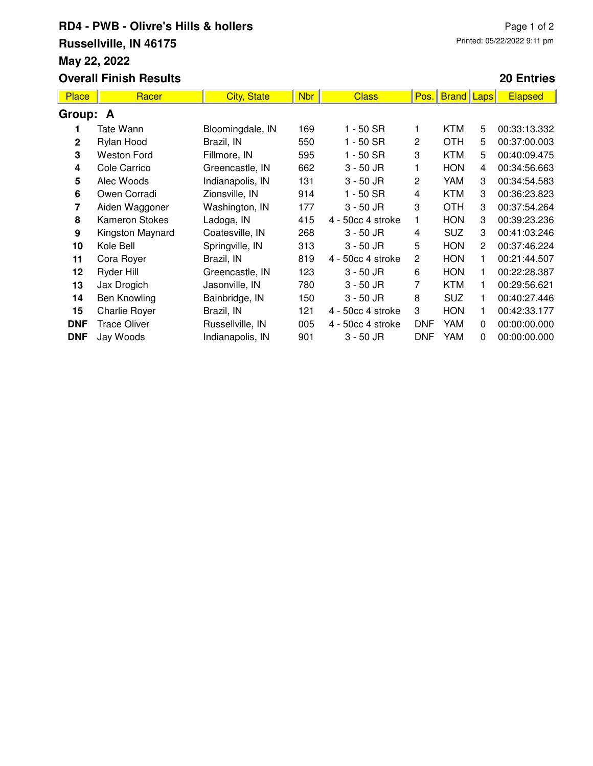## **RD4 - PWB - Olivre's Hills & hollers Russellville, IN 46175 May 22, 2022 Overall Finish Results**

## Page 1 of 2 Printed: 05/22/2022 9:11 pm

#### **20 Entries**

| <b>Place</b> | Racer                 | <b>City, State</b> | <b>Nbr</b> | <b>Class</b>      | Pos.           | <b>Brand Laps</b> |                       | <b>Elapsed</b> |  |  |  |
|--------------|-----------------------|--------------------|------------|-------------------|----------------|-------------------|-----------------------|----------------|--|--|--|
| Group: A     |                       |                    |            |                   |                |                   |                       |                |  |  |  |
|              | Tate Wann             | Bloomingdale, IN   | 169        | 1 - 50 SR         |                | <b>KTM</b>        | 5                     | 00:33:13.332   |  |  |  |
| $\mathbf{2}$ | Rylan Hood            | Brazil, IN         | 550        | 1 - 50 SR         | 2              | <b>OTH</b>        | 5                     | 00:37:00.003   |  |  |  |
| 3            | <b>Weston Ford</b>    | Fillmore, IN       | 595        | 1 - 50 SR         | 3              | <b>KTM</b>        | 5                     | 00:40:09.475   |  |  |  |
| 4            | Cole Carrico          | Greencastle, IN    | 662        | $3 - 50$ JR       |                | <b>HON</b>        | 4                     | 00:34:56.663   |  |  |  |
| 5            | Alec Woods            | Indianapolis, IN   | 131        | $3 - 50$ JR       | 2              | YAM               | 3                     | 00:34:54.583   |  |  |  |
| 6            | Owen Corradi          | Zionsville, IN     | 914        | 1 - 50 SR         | 4              | <b>KTM</b>        | 3                     | 00:36:23.823   |  |  |  |
| 7            | Aiden Waggoner        | Washington, IN     | 177        | $3 - 50$ JR       | 3              | <b>OTH</b>        | 3                     | 00:37:54.264   |  |  |  |
| 8            | <b>Kameron Stokes</b> | Ladoga, IN         | 415        | 4 - 50cc 4 stroke |                | <b>HON</b>        | 3                     | 00:39:23.236   |  |  |  |
| 9            | Kingston Maynard      | Coatesville, IN    | 268        | $3 - 50$ JR       | 4              | <b>SUZ</b>        | 3                     | 00:41:03.246   |  |  |  |
| 10           | Kole Bell             | Springville, IN    | 313        | $3 - 50$ JR       | 5              | <b>HON</b>        | $\mathbf{2}^{\prime}$ | 00:37:46.224   |  |  |  |
| 11           | Cora Royer            | Brazil, IN         | 819        | 4 - 50cc 4 stroke | $\overline{c}$ | <b>HON</b>        | 1                     | 00:21:44.507   |  |  |  |
| 12           | Ryder Hill            | Greencastle, IN    | 123        | $3 - 50$ JR       | 6              | <b>HON</b>        | 1                     | 00:22:28.387   |  |  |  |
| 13           | Jax Drogich           | Jasonville, IN     | 780        | $3 - 50$ JR       | 7              | <b>KTM</b>        | 1                     | 00:29:56.621   |  |  |  |
| 14           | Ben Knowling          | Bainbridge, IN     | 150        | $3 - 50$ JR       | 8              | <b>SUZ</b>        | 1                     | 00:40:27.446   |  |  |  |
| 15           | Charlie Royer         | Brazil, IN         | 121        | 4 - 50cc 4 stroke | 3              | <b>HON</b>        | 1                     | 00:42:33.177   |  |  |  |
| <b>DNF</b>   | <b>Trace Oliver</b>   | Russellville, IN   | 005        | 4 - 50cc 4 stroke | <b>DNF</b>     | YAM               | $\Omega$              | 00:00:00.000   |  |  |  |
| <b>DNF</b>   | Jay Woods             | Indianapolis, IN   | 901        | $3 - 50$ JR       | <b>DNF</b>     | YAM               | 0                     | 00:00:00.000   |  |  |  |